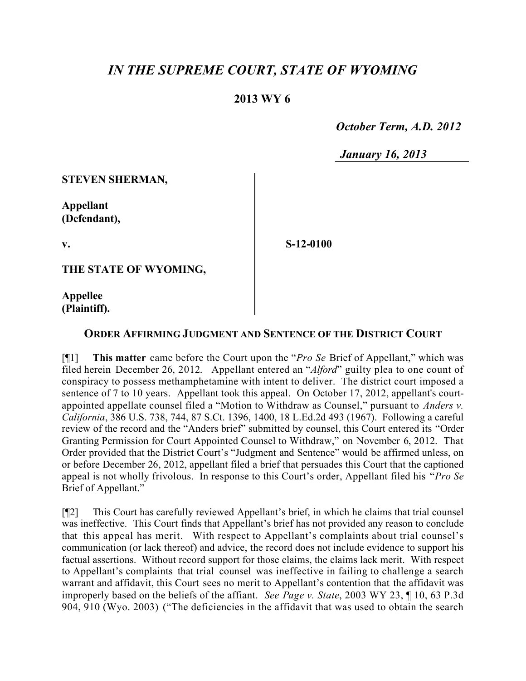## *IN THE SUPREME COURT, STATE OF WYOMING*

## **2013 WY 6**

 *October Term, A.D. 2012*

*January 16, 2013*

**STEVEN SHERMAN,**

**Appellant (Defendant),**

**v.**

**S-12-0100**

**THE STATE OF WYOMING,**

**Appellee (Plaintiff).**

## **ORDER AFFIRMING JUDGMENT AND SENTENCE OF THE DISTRICT COURT**

[¶1] **This matter** came before the Court upon the "*Pro Se* Brief of Appellant," which was filed herein December 26, 2012. Appellant entered an "*Alford*" guilty plea to one count of conspiracy to possess methamphetamine with intent to deliver. The district court imposed a sentence of 7 to 10 years. Appellant took this appeal. On October 17, 2012, appellant's courtappointed appellate counsel filed a "Motion to Withdraw as Counsel," pursuant to *Anders v. California*, 386 U.S. 738, 744, 87 S.Ct. 1396, 1400, 18 L.Ed.2d 493 (1967). Following a careful review of the record and the "Anders brief" submitted by counsel, this Court entered its "Order Granting Permission for Court Appointed Counsel to Withdraw," on November 6, 2012. That Order provided that the District Court's "Judgment and Sentence" would be affirmed unless, on or before December 26, 2012, appellant filed a brief that persuades this Court that the captioned appeal is not wholly frivolous. In response to this Court's order, Appellant filed his "*Pro Se* Brief of Appellant."

[¶2] This Court has carefully reviewed Appellant's brief, in which he claims that trial counsel was ineffective. This Court finds that Appellant's brief has not provided any reason to conclude that this appeal has merit. With respect to Appellant's complaints about trial counsel's communication (or lack thereof) and advice, the record does not include evidence to support his factual assertions. Without record support for those claims, the claims lack merit. With respect to Appellant's complaints that trial counsel was ineffective in failing to challenge a search warrant and affidavit, this Court sees no merit to Appellant's contention that the affidavit was improperly based on the beliefs of the affiant. *See Page v. State*, 2003 WY 23, ¶ 10, 63 P.3d 904, 910 (Wyo. 2003) ("The deficiencies in the affidavit that was used to obtain the search